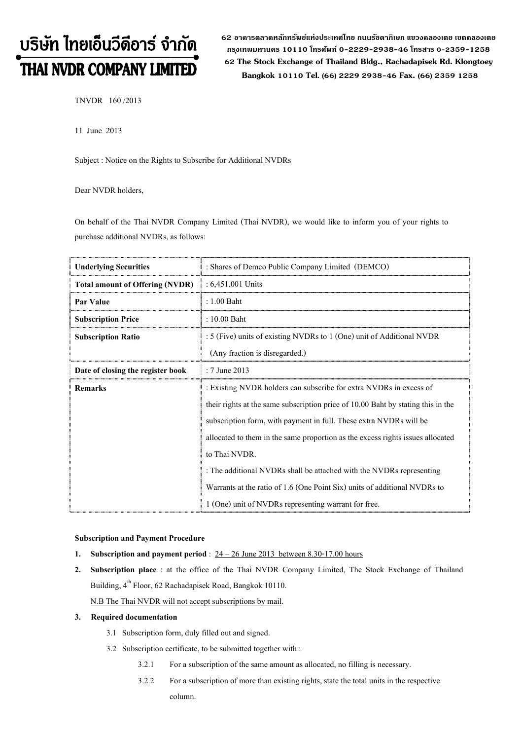# บริษัท ไทยเอ็นวีดีอาร์ จำกัด THAI NVDR COMPANY LIMITED

**62 อาคารตลาดหลักทรัพย์แห่งประเทศไทย ถนนรัชดาภิเษก แขวงคลองเตย เขตคลองเตย กร ุงเทพมหานคร 10110 โทรศัพท์ 0-2229-2938-46 โทรสาร 0-2359-1258 62 The Stock Exchange of Thailand Bldg., Rachadapisek Rd. Klongtoey Bangkok <sup>10110</sup> Tel. (66) 2229 2938-46 Fax. (66) 2359 1258**

TNVDR 160 /2013

11 June 2013

Subject : Notice on the Rights to Subscribe for Additional NVDRs

Dear NVDR holders,

On behalf of the Thai NVDR Company Limited (Thai NVDR), we would like to inform you of your rights to purchase additional NVDRs, as follows:

| <b>Underlying Securities</b>           | : Shares of Demco Public Company Limited (DEMCO)                                 |  |  |  |  |
|----------------------------------------|----------------------------------------------------------------------------------|--|--|--|--|
| <b>Total amount of Offering (NVDR)</b> | $: 6,451,001$ Units                                                              |  |  |  |  |
| Par Value                              | $: 1.00$ Baht                                                                    |  |  |  |  |
| <b>Subscription Price</b>              | : 10.00 Baht                                                                     |  |  |  |  |
| <b>Subscription Ratio</b>              | : 5 (Five) units of existing NVDRs to 1 (One) unit of Additional NVDR            |  |  |  |  |
|                                        | (Any fraction is disregarded.)                                                   |  |  |  |  |
| Date of closing the register book      | : 7 June 2013                                                                    |  |  |  |  |
| <b>Remarks</b>                         | : Existing NVDR holders can subscribe for extra NVDRs in excess of               |  |  |  |  |
|                                        | their rights at the same subscription price of 10.00 Baht by stating this in the |  |  |  |  |
|                                        | subscription form, with payment in full. These extra NVDRs will be               |  |  |  |  |
|                                        | allocated to them in the same proportion as the excess rights issues allocated   |  |  |  |  |
|                                        | to Thai NVDR.                                                                    |  |  |  |  |
|                                        | : The additional NVDRs shall be attached with the NVDRs representing             |  |  |  |  |
|                                        | Warrants at the ratio of 1.6 (One Point Six) units of additional NVDRs to        |  |  |  |  |
|                                        | 1 (One) unit of NVDRs representing warrant for free.                             |  |  |  |  |

#### **Subscription and Payment Procedure**

- **1. Subscription and payment period** : 24 26 June 2013 between 8.30-17.00 hours
- **2. Subscription place** : at the office of the Thai NVDR Company Limited, The Stock Exchange of Thailand Building,  $4^{th}$  Floor, 62 Rachadapisek Road, Bangkok 10110. N.B The Thai NVDR will not accept subscriptions by mail.

#### **3. Required documentation**

- 3.1 Subscription form, duly filled out and signed.
- 3.2 Subscription certificate, to be submitted together with :
	- 3.2.1 For a subscription of the same amount as allocated, no filling is necessary.
	- 3.2.2 For a subscription of more than existing rights, state the total units in the respective column.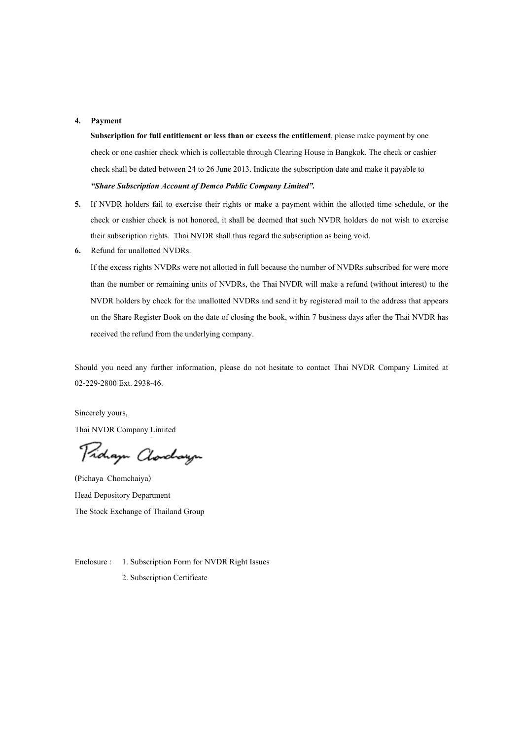### **4. Payment**

**Subscription for full entitlement or less than or excess the entitlement**, please make payment by one check or one cashier check which is collectable through Clearing House in Bangkok. The check or cashier check shall be dated between 24 to 26 June 2013. Indicate the subscription date and make it payable to *"Share Subscription Account of Demco Public Company Limited".*

- **5.** If NVDR holders fail to exercise their rights or make a payment within the allotted time schedule, or the check or cashier check is not honored, it shall be deemed that such NVDR holders do not wish to exercise their subscription rights. Thai NVDR shall thus regard the subscription as being void.
- **6.** Refund for unallotted NVDRs.

If the excess rights NVDRs were not allotted in full because the number of NVDRs subscribed for were more than the number or remaining units of NVDRs, the Thai NVDR will make a refund (without interest) to the NVDR holders by check for the unallotted NVDRs and send it by registered mail to the address that appears on the Share Register Book on the date of closing the book, within 7 business days after the Thai NVDR has received the refund from the underlying company.

Should you need any further information, please do not hesitate to contact Thai NVDR Company Limited at 02-229-2800 Ext. 2938-46.

Sincerely yours, Thai NVDR Company Limited

Proham Clorchayn

(Pichaya Chomchaiya) Head Depository Department The Stock Exchange of Thailand Group

Enclosure : 1. Subscription Form for NVDR Right Issues 2. Subscription Certificate